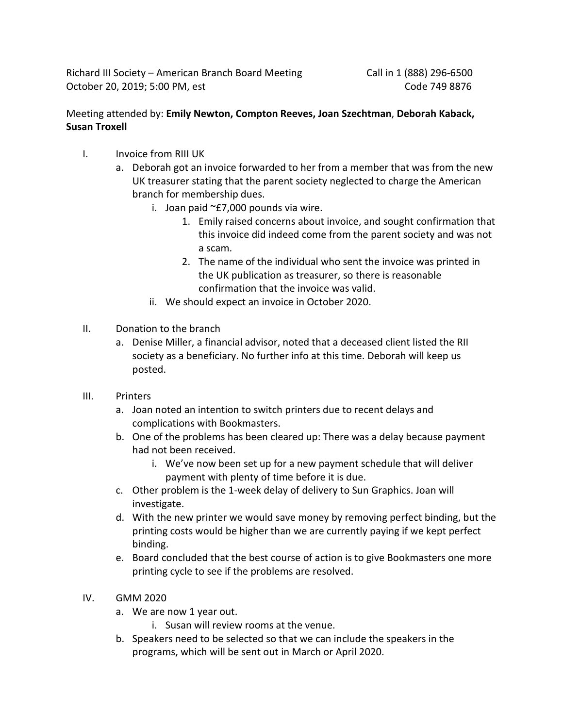Richard III Society – American Branch Board Meeting Call in 1 (888) 296-6500 October 20, 2019; 5:00 PM, est Code 749 8876

## Meeting attended by: **Emily Newton, Compton Reeves, Joan Szechtman**, **Deborah Kaback, Susan Troxell**

- I. Invoice from RIII UK
	- a. Deborah got an invoice forwarded to her from a member that was from the new UK treasurer stating that the parent society neglected to charge the American branch for membership dues.
		- i. Joan paid  $\textdegree$  £7,000 pounds via wire.
			- 1. Emily raised concerns about invoice, and sought confirmation that this invoice did indeed come from the parent society and was not a scam.
			- 2. The name of the individual who sent the invoice was printed in the UK publication as treasurer, so there is reasonable confirmation that the invoice was valid.
		- ii. We should expect an invoice in October 2020.
- II. Donation to the branch
	- a. Denise Miller, a financial advisor, noted that a deceased client listed the RII society as a beneficiary. No further info at this time. Deborah will keep us posted.
- III. Printers
	- a. Joan noted an intention to switch printers due to recent delays and complications with Bookmasters.
	- b. One of the problems has been cleared up: There was a delay because payment had not been received.
		- i. We've now been set up for a new payment schedule that will deliver payment with plenty of time before it is due.
	- c. Other problem is the 1-week delay of delivery to Sun Graphics. Joan will investigate.
	- d. With the new printer we would save money by removing perfect binding, but the printing costs would be higher than we are currently paying if we kept perfect binding.
	- e. Board concluded that the best course of action is to give Bookmasters one more printing cycle to see if the problems are resolved.
- IV. GMM 2020
	- a. We are now 1 year out.
		- i. Susan will review rooms at the venue.
	- b. Speakers need to be selected so that we can include the speakers in the programs, which will be sent out in March or April 2020.